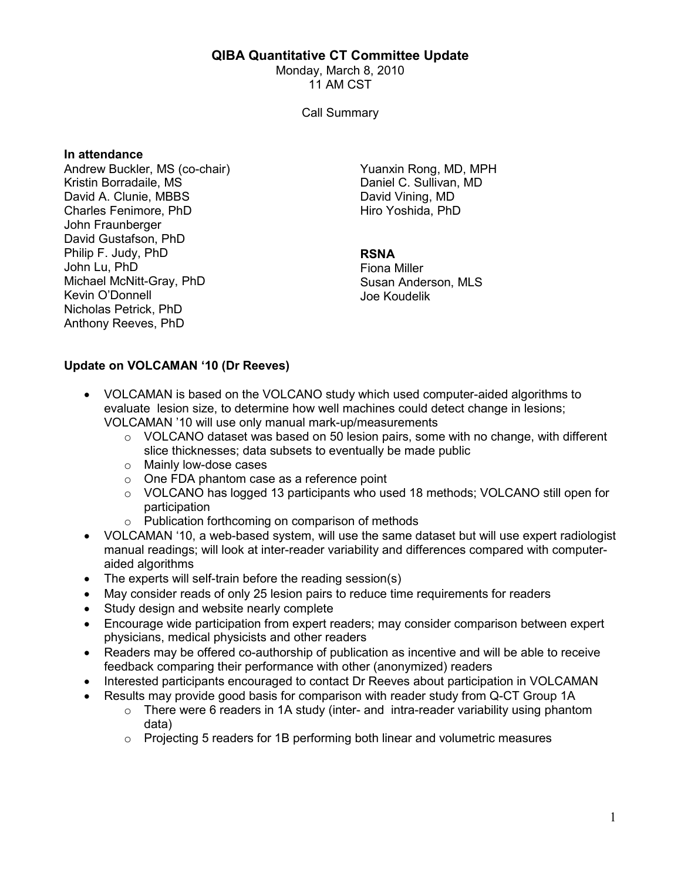#### QIBA Quantitative CT Committee Update

Monday, March 8, 2010 11 AM CST

Call Summary

#### In attendance

Andrew Buckler, MS (co-chair) Kristin Borradaile, MS David A. Clunie, MBBS Charles Fenimore, PhD John Fraunberger David Gustafson, PhD Philip F. Judy, PhD John Lu, PhD Michael McNitt-Gray, PhD Kevin O'Donnell Nicholas Petrick, PhD Anthony Reeves, PhD

Yuanxin Rong, MD, MPH Daniel C. Sullivan, MD David Vining, MD Hiro Yoshida, PhD

## RSNA

Fiona Miller Susan Anderson, MLS Joe Koudelik

## Update on VOLCAMAN '10 (Dr Reeves)

- VOLCAMAN is based on the VOLCANO study which used computer-aided algorithms to evaluate lesion size, to determine how well machines could detect change in lesions; VOLCAMAN '10 will use only manual mark-up/measurements
	- $\circ$  VOLCANO dataset was based on 50 lesion pairs, some with no change, with different slice thicknesses; data subsets to eventually be made public
	- o Mainly low-dose cases
	- o One FDA phantom case as a reference point
	- o VOLCANO has logged 13 participants who used 18 methods; VOLCANO still open for participation
	- o Publication forthcoming on comparison of methods
- VOLCAMAN '10, a web-based system, will use the same dataset but will use expert radiologist manual readings; will look at inter-reader variability and differences compared with computeraided algorithms
- The experts will self-train before the reading session(s)
- May consider reads of only 25 lesion pairs to reduce time requirements for readers
- Study design and website nearly complete
- Encourage wide participation from expert readers; may consider comparison between expert physicians, medical physicists and other readers
- Readers may be offered co-authorship of publication as incentive and will be able to receive feedback comparing their performance with other (anonymized) readers
- Interested participants encouraged to contact Dr Reeves about participation in VOLCAMAN
- Results may provide good basis for comparison with reader study from Q-CT Group 1A
	- $\circ$  There were 6 readers in 1A study (inter- and intra-reader variability using phantom data)
	- $\circ$  Projecting 5 readers for 1B performing both linear and volumetric measures